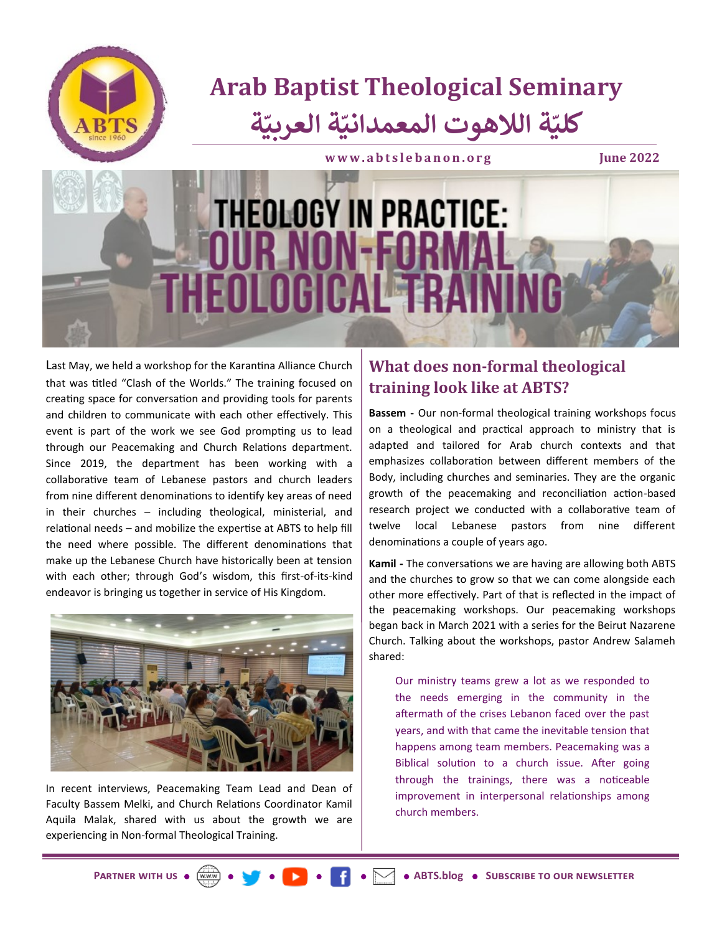

Last May, we held a workshop for the Karantina Alliance Church that was titled "Clash of the Worlds." The training focused on creating space for conversation and providing tools for parents and children to communicate with each other effectively. This event is part of the work we see God prompting us to lead through our Peacemaking and Church Relations department. Since 2019, the department has been working with a collaborative team of Lebanese pastors and church leaders from nine different denominations to identify key areas of need in their churches – including theological, ministerial, and relational needs – and mobilize the expertise at ABTS to help fill the need where possible. The different denominations that make up the Lebanese Church have historically been at tension with each other; through God's wisdom, this first-of-its-kind endeavor is bringing us together in service of His Kingdom.



In recent interviews, Peacemaking Team Lead and Dean of Faculty Bassem Melki, and Church Relations Coordinator Kamil Aquila Malak, shared with us about the growth we are experiencing in Non-formal Theological Training.

## **What does non-formal theological training look like at ABTS?**

**Bassem -** Our non-formal theological training workshops focus on a theological and practical approach to ministry that is adapted and tailored for Arab church contexts and that emphasizes collaboration between different members of the Body, including churches and seminaries. They are the organic growth of the peacemaking and reconciliation action-based research project we conducted with a collaborative team of twelve local Lebanese pastors from nine different denominations a couple of years ago.

**Kamil -** The conversations we are having are allowing both ABTS and the churches to grow so that we can come alongside each other more effectively. Part of that is reflected in the impact of the peacemaking workshops. Our peacemaking workshops began back in March 2021 with a series for the Beirut Nazarene Church. Talking about the workshops, pastor Andrew Salameh shared:

Our ministry teams grew a lot as we responded to the needs emerging in the community in the aftermath of the crises Lebanon faced over the past years, and with that came the inevitable tension that happens among team members. Peacemaking was a Biblical solution to a church issue. After going through the trainings, there was a noticeable improvement in interpersonal relationships among church members.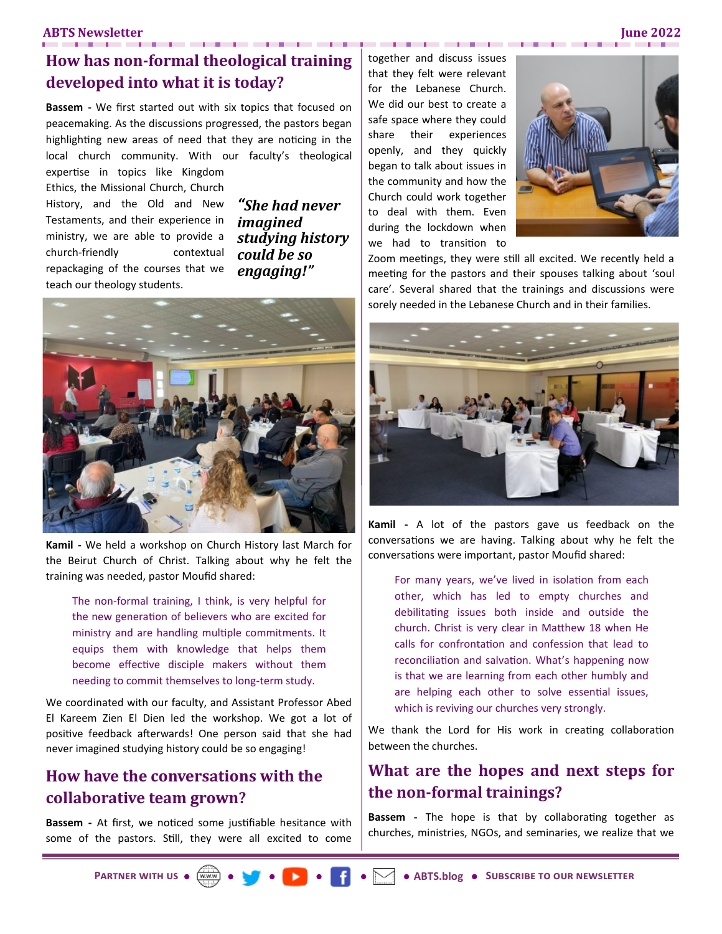### **ABTS Newsletter June 2022**

### **How has non-formal theological training developed into what it is today?**

**Bassem -** We first started out with six topics that focused on peacemaking. As the discussions progressed, the pastors began highlighting new areas of need that they are noticing in the local church community. With our faculty's theological

expertise in topics like Kingdom Ethics, the Missional Church, Church History, and the Old and New Testaments, and their experience in ministry, we are able to provide a church-friendly contextual repackaging of the courses that we teach our theology students.

*"She had never imagined studying history could be so engaging!"*



**Kamil -** We held a workshop on Church History last March for the Beirut Church of Christ. Talking about why he felt the training was needed, pastor Moufid shared:

The non-formal training, I think, is very helpful for the new generation of believers who are excited for ministry and are handling multiple commitments. It equips them with knowledge that helps them become effective disciple makers without them needing to commit themselves to long-term study.

We coordinated with our faculty, and Assistant Professor Abed El Kareem Zien El Dien led the workshop. We got a lot of positive feedback afterwards! One person said that she had never imagined studying history could be so engaging!

### **How have the conversations with the collaborative team grown?**

**Bassem -** At first, we noticed some justifiable hesitance with some of the pastors. Still, they were all excited to come

together and discuss issues that they felt were relevant for the Lebanese Church. We did our best to create a safe space where they could share their experiences openly, and they quickly began to talk about issues in the community and how the Church could work together to deal with them. Even during the lockdown when we had to transition to



Zoom meetings, they were still all excited. We recently held a meeting for the pastors and their spouses talking about 'soul care'. Several shared that the trainings and discussions were sorely needed in the Lebanese Church and in their families.



**Kamil -** A lot of the pastors gave us feedback on the conversations we are having. Talking about why he felt the conversations were important, pastor Moufid shared:

For many years, we've lived in isolation from each other, which has led to empty churches and debilitating issues both inside and outside the church. Christ is very clear in Matthew 18 when He calls for confrontation and confession that lead to reconciliation and salvation. What's happening now is that we are learning from each other humbly and are helping each other to solve essential issues, which is reviving our churches very strongly.

We thank the Lord for His work in creating collaboration between the churches.

### **What are the hopes and next steps for the non-formal trainings?**

**Bassem -** The hope is that by collaborating together as churches, ministries, NGOs, and seminaries, we realize that we

**[Partner with us](https://abtslebanon.org/partner-with-us/) [Subscribe to our newsletter](https://abtslebanon.org/newsletter-signup/) [ABTS.blog](https://abtslebanon.org/blog/)**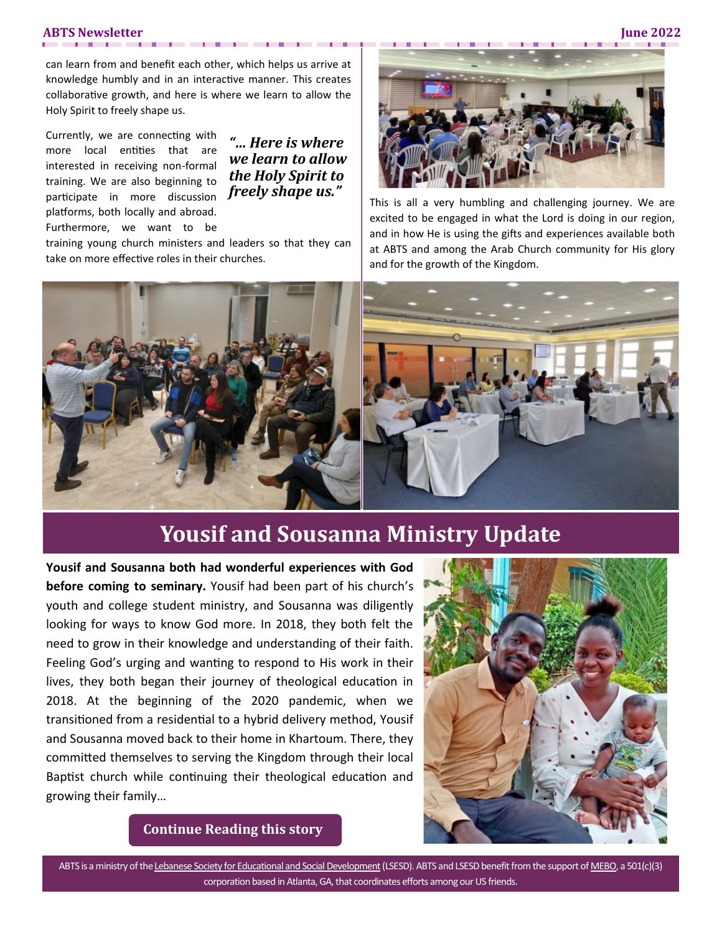#### **ABTS Newsletter June 2022**

can learn from and benefit each other, which helps us arrive at knowledge humbly and in an interactive manner. This creates collaborative growth, and here is where we learn to allow the Holy Spirit to freely shape us.

Currently, we are connecting with more local entities that are interested in receiving non-formal training. We are also beginning to participate in more discussion platforms, both locally and abroad. Furthermore, we want to be

*"… Here is where we learn to allow the Holy Spirit to freely shape us."*

training young church ministers and leaders so that they can take on more effective roles in their churches.



This is all a very humbling and challenging journey. We are excited to be engaged in what the Lord is doing in our region, and in how He is using the gifts and experiences available both at ABTS and among the Arab Church community for His glory and for the growth of the Kingdom.



# **Yousif and Sousanna Ministry Update**

**Yousif and Sousanna both had wonderful experiences with God before coming to seminary.** Yousif had been part of his church's youth and college student ministry, and Sousanna was diligently looking for ways to know God more. In 2018, they both felt the need to grow in their knowledge and understanding of their faith. Feeling God's urging and wanting to respond to His work in their lives, they both began their journey of theological education in 2018. At the beginning of the 2020 pandemic, when we transitioned from a residential to a hybrid delivery method, Yousif and Sousanna moved back to their home in Khartoum. There, they committed themselves to serving the Kingdom through their local Baptist church while continuing their theological education and growing their family…



**[Continue Reading this story](https://abtslebanon.org/portfolio-item/yousif-and-sousanna-ministry-update/)**

ABTS is a ministry of the [Lebanese Society for Educational and Social Development](http://www.lsesd.org) (LSESD). ABTS and LSESD benefit from the support of [MEBO,](http://www.mebo.org) a 501(c)(3) corporation based in Atlanta, GA, that coordinates efforts among our US friends.